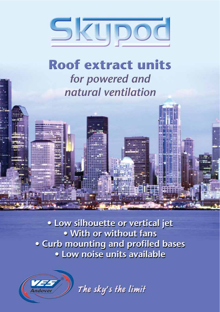

# **Roof extract units** for powered and natural ventilation

. Low silhouette or vertical jet . With or without fans . Curb mounting and profiled bases • Low noise units available



The sky's the limit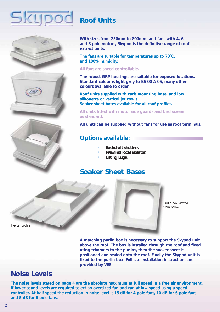



# **Roof Units**

**With sizes from 250mm to 800mm, and fans with 4, 6 and 8 pole motors, Skypod is the definitive range of roof extract units.**

**The fans are suitable for temperatures up to 70°C, and 100% humidity.**

#### **All fans are speed controllable.**

**The robust GRP housings are suitable for exposed locations. Standard colour is light grey to BS 00 A 05, many other colours available to order.**

**Roof units supplied with curb mounting base, and low silhouette or vertical jet cowls. Soaker sheet bases available for all roof profiles.**

**All units fitted with motor side guards and bird screen as standard.**

**All units can be supplied without fans for use as roof terminals.**

#### **Options available:**

- *• Backdraft shutters.*
- *• Prewired local isolator.*
- *• Lifting Lugs.*

## **Soaker Sheet Bases**



*Purlin box viewed from below*

*Typical profile*

**A matching purlin box is necessary to support the Skypod unit above the roof. The box is installed through the roof and fixed using trimmers to the purlins, then the soaker sheet is positioned and sealed onto the roof. Finally the Skypod unit is fixed to the purlin box. Full site installation instructions are provided by VES.** 

## **Noise Levels**

**The noise levels stated on page 4 are the absolute maximum at full speed in a free air environment. If lower sound levels are required select an oversized fan and run at low speed using a speed controller. At half speed the reduction in noise level is 15 dB for 4 pole fans, 10 dB for 6 pole fans and 5 dB for 8 pole fans.**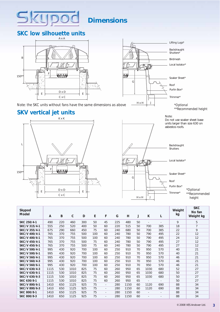## **Dimensions**

## **SKC low silhouette units**

5

**CLIDOC** 



*Note: the SKC units without fans have the same dimensions as above*

## **SKV vertical jet units**





Note: Do not use soaker sheet base units larger than size 630 on



*\*Optional \*\*Recommended height*

| Skypod<br>Model | A    | B   | $\mathsf{C}$ | D   | E   | F                        | G   | H    | J  | K                        | L                        | Weight<br>kg | <b>SKC</b><br>No fan<br>Weight kg |
|-----------------|------|-----|--------------|-----|-----|--------------------------|-----|------|----|--------------------------|--------------------------|--------------|-----------------------------------|
| SKC 250/4-1     | 490  | 220 | 460          | 300 | 50  | 45                       | 225 | 480  | 50 | $\blacksquare$           |                          | 9            | 5                                 |
| SKC/V 315/4-1   | 555  | 250 | 520          | 400 | 50  | 60                       | 220 | 515  | 50 | 700                      | 385                      | 18           | $\overline{7}$                    |
| SKC/V 355/4-1   | 675  | 290 | 660          | 450 | 75  | 60                       | 240 | 680  | 50 | 700                      | 385                      | 22           | 9                                 |
| SKC/V 400/4-1   | 765  | 370 | 755          | 500 | 100 | 60                       | 240 | 780  | 50 | 790                      | 495                      | 22           | 12                                |
| SKC/V 400/6-1   | 765  | 370 | 755          | 500 | 100 | 60                       | 240 | 780  | 50 | 790                      | 495                      | 24           | 12                                |
| SKC/V 450/4-1   | 765  | 370 | 755          | 500 | 75  | 60                       | 240 | 780  | 50 | 790                      | 495                      | 27           | 12                                |
| SKC/V 450/6-1   | 765  | 370 | 755          | 500 | 75  | 60                       | 240 | 780  | 50 | 790                      | 495                      | 27           | 12                                |
| SKC/V 500/4-1   | 995  | 430 | 920          | 700 | 100 | 60                       | 250 | 910  | 70 | 950                      | 570                      | 40           | 21                                |
| SKC/V 500/6-1   | 995  | 430 | 920          | 700 | 100 | 60                       | 250 | 910  | 70 | 950                      | 570                      | 40           | 21                                |
| SKC/V 560/4-1   | 995  | 430 | 920          | 700 | 100 | 60                       | 250 | 910  | 70 | 950                      | 570                      | 46           | 21                                |
| SKC/V 560/4-3   | 995  | 430 | 920          | 700 | 100 | 60                       | 250 | 910  | 70 | 950                      | 570                      | 46           | 21                                |
| SKC/V 560/6-1   | 995  | 430 | 920          | 700 | 100 | 60                       | 250 | 910  | 70 | 950                      | 570                      | 46           | 21                                |
| SKC/V 630/4-3   | 1115 | 530 | 1010         | 825 | 75  | 60                       | 260 | 950  | 65 | 1030                     | 680                      | 52           | 27                                |
| SKC/V 630/6-1   | 1115 | 530 | 1010         | 825 | 75  | 60                       | 260 | 950  | 65 | 1030                     | 680                      | 50           | 27                                |
| SKC/V 630/6-3   | 1115 | 530 | 1010         | 825 | 75  | 60                       | 260 | 950  | 65 | 1030                     | 680                      | 50           | 27                                |
| SKC 630/8-1     | 1115 | 530 | 1010         | 825 | 75  | 60                       | 260 | 950  | 65 | $\sim$                   |                          | 50           | 27                                |
| SKC/V 800/6-1   | 1410 | 650 | 1125         | 925 | 75  | $\blacksquare$           | 280 | 1150 | 60 | 1120                     | 690                      | 88           | 34                                |
| SKC/V 800/6-3   | 1410 | 650 | 1125         | 925 | 75  | $\overline{\phantom{a}}$ | 280 | 1150 | 60 | 1120                     | 690                      | 88           | 34                                |
| SKC 800/8-1     | 1410 | 650 | 1125         | 925 | 75  | $\overline{\phantom{a}}$ | 280 | 1150 | 60 | $\blacksquare$           | $\overline{\phantom{a}}$ | 88           | 34                                |
| SKC 800/8-3     | 1410 | 650 | 1125         | 925 | 75  | $\overline{\phantom{a}}$ | 280 | 1150 | 60 | $\overline{\phantom{a}}$ |                          | 88           | 34                                |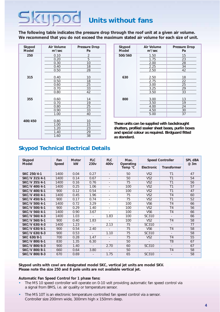# **Units without fans**

**The following table indicates the pressure drop through the roof unit at a given air volume. We recommend that you do not exceed the maximum stated air volume for each size of unit.**

| Skypod<br><b>Model</b> | Air Volume<br>$m^3/sec$ | <b>Pressure Drop</b><br>Pa |  |  |  |
|------------------------|-------------------------|----------------------------|--|--|--|
| 250                    | 0.10                    | 2                          |  |  |  |
|                        | 0.20                    | 5                          |  |  |  |
|                        | 0.30                    | 10                         |  |  |  |
|                        | 0.40                    | 18                         |  |  |  |
|                        | 0.50                    | 28                         |  |  |  |
|                        |                         |                            |  |  |  |
| 315                    | 0.40                    | 10                         |  |  |  |
|                        | 0.50                    | 18                         |  |  |  |
|                        | 0.60                    | 25                         |  |  |  |
|                        | 0.70                    | 33                         |  |  |  |
|                        | 0.80                    | 42                         |  |  |  |
|                        |                         |                            |  |  |  |
| 355                    | 0.60                    | 14                         |  |  |  |
|                        | 0.70                    | 19                         |  |  |  |
|                        | 0.80                    | 25                         |  |  |  |
|                        | 0.90                    | 33                         |  |  |  |
|                        | 1.00                    | 40                         |  |  |  |
| 400/450                | 0.80                    | 10                         |  |  |  |
|                        | 1.00                    | 15                         |  |  |  |
|                        | 1.20                    | 23                         |  |  |  |
|                        | 1.40                    | 29                         |  |  |  |
|                        | 1.60                    | 38                         |  |  |  |

**CLIDOC** 

| Air Volume<br>$m^3/sec$ | <b>Pressure Drop</b><br>Pa |
|-------------------------|----------------------------|
| 1.50                    | 15                         |
| 1.75                    | 23                         |
| 2.00                    | 28                         |
| 2.25                    | 34                         |
| 2.50                    | 42                         |
|                         |                            |
| 2.50                    | 18                         |
|                         | 22                         |
| 3.00                    | 25                         |
| 3.25                    | 29                         |
| 3.50                    | 33                         |
|                         |                            |
|                         | 13                         |
| 3.50                    | 19                         |
| 4.00                    | 24                         |
| 4.50                    | 30                         |
| 5.00                    | 37                         |
|                         | 2.75<br>3.00               |

*These units can be supplied with backdraught shutters, profiled soaker sheet bases, purlin boxes and special colour as required. Birdguard fitted as standard.*

#### **Skypod Technical Electrical Details**

| Skypod<br>Model | Fan<br>Speed | <b>Motor</b><br><b>kW</b> | <b>FLC</b><br>230 <sub>v</sub> | <b>FLC</b><br>400 <sub>v</sub> | Max.<br>Operating | <b>Speed Controller</b> | <b>SPL dBA</b><br>@ 3m |    |  |
|-----------------|--------------|---------------------------|--------------------------------|--------------------------------|-------------------|-------------------------|------------------------|----|--|
|                 |              |                           |                                |                                | Temp °C           | Electronic              | <b>Transformer</b>     |    |  |
| SKC 250/4-1     | 1400         | 0.04                      | 0.27                           |                                | 50                | VS <sub>2</sub>         | T1                     | 47 |  |
| SKC/V 315/4-1   | 1400         | 0.14                      | 0.67                           | ÷                              | 50                | VS <sub>2</sub>         | T <sub>1</sub>         | 54 |  |
| SKC/V 355/4-1   | 1400         | 0.16                      | 0.76                           |                                | 75                | VS <sub>2</sub>         | T1                     | 56 |  |
| SKC/V 400/4-1   | 1400         | 0.25                      | 1.06                           | ÷                              | 100               | VS <sub>2</sub>         | T <sub>1</sub>         | 57 |  |
| SKC/V 400/6-1   | 900          | 0.12                      | 0.54                           | $\overline{a}$                 | 100               | VS <sub>2</sub>         | T <sub>1</sub>         | 47 |  |
| SKC/V 450/4-1   | 1400         | 0.45                      | 1.96                           | ٠                              | 75                | VS <sub>2</sub>         | T <sub>4</sub>         | 60 |  |
| SKC/V 450/6-1   | 900          | 0.17                      | 0.74                           | $\overline{\phantom{a}}$       | 75                | VS <sub>2</sub>         | T <sub>1</sub>         | 52 |  |
| SKC/V 500/4-1   | 1400         | 0.72                      | 3.29                           | ÷                              | 100               | VS <sub>6</sub>         | T <sub>4</sub>         | 66 |  |
| SKC/V 500/6-1   | 900          | 0.29                      | 1.40                           | $\sim$                         | 100               | VS <sub>2</sub>         | T <sub>4</sub>         | 56 |  |
| SKC/V 560/4-1   | 1400         | 0.90                      | 3.67                           | $\overline{\phantom{a}}$       | 100               | VS <sub>6</sub>         | T <sub>4</sub>         | 66 |  |
| SKC/V 560/4-3   | 1400         | 1.03                      | $\overline{\phantom{a}}$       | 1.83                           | 100               | SC310                   | $\sim$                 | 66 |  |
| SKC/V 560/6-1   | 900          | 0.40                      | 1.83                           | ÷                              | 100               | VS <sub>2</sub>         | T <sub>4</sub>         | 58 |  |
| SKC/V 630/4-3   | 1400         | 1.23                      | $\overline{\phantom{a}}$       | 2.13                           | 75                | SC310                   | $\sim$                 | 77 |  |
| SKC/V 630/6-1   | 900          | 0.54                      | 2.40                           | $\overline{a}$                 | 75                | VS <sub>6</sub>         | T <sub>4</sub>         | 58 |  |
| SKC/V 630/6-3   | 900          | 0.53                      | ÷                              | 1.10                           | 75                | SC310                   |                        | 58 |  |
| SKC 630/8-1     | 700          | 0.28                      | 1.47                           | $\overline{a}$                 | 75                | VS <sub>2</sub>         | T <sub>4</sub>         | 55 |  |
| SKC/V 800/6-1   | 830          | 1.35                      | 6.30                           | ÷                              | 50                |                         | T <sub>8</sub>         | 67 |  |
| SKC/V 800/6-3   | 900          | 1.40                      |                                | 2.70                           | 60                | SC310                   |                        | 67 |  |
| SKC/V 800/8-1   | 660          | 0.64                      | 3.80                           | $\overline{a}$                 | 50                |                         | T <sub>4</sub>         | 58 |  |
| SKC/V 800/8-3   | 670          | 0.69                      |                                | 1.75                           | 65                | SC310                   |                        | 58 |  |

#### **Skypod units with cowl are designated model SKC, vertical jet units are model SKV. Please note the size 250 and 8 pole units are not available vertical jet.**

#### **Automatic Fan Speed Control for 1 phase fans:**

- The MS 10 speed controller will operate on 0-10 volt providing automatic fan speed control via a signal from BMS, i.e. air quality or temperature sensor.
- The MS 10T is an electronic temperature controlled fan speed control via a sensor. Controller size 200mm wide, 300mm high x 150mm deep.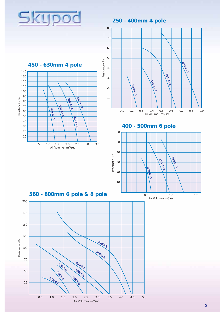

**250 - 400mm 4 pole**







**400 - 500mm 6 pole**